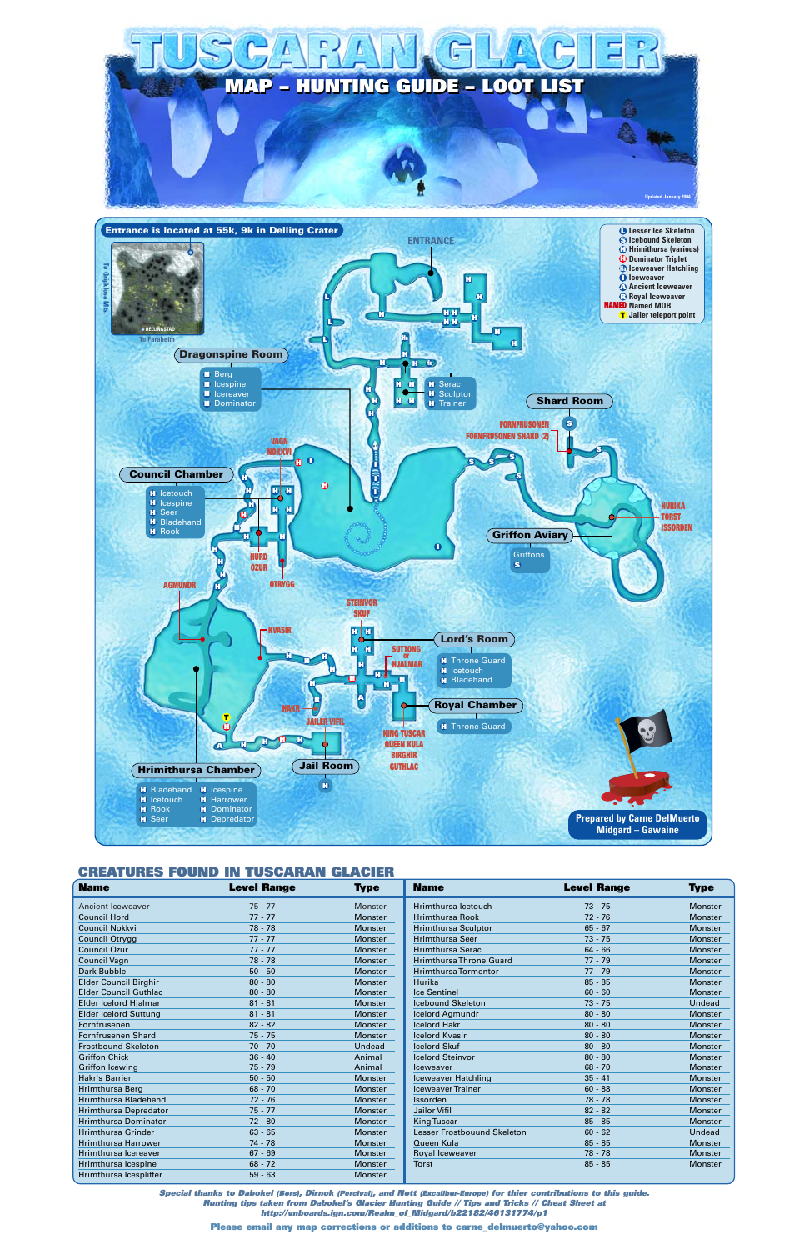

| <b>Name</b>                  | <b>Level Range</b> | <b>Type</b>    | <b>Name</b>                    | <b>Level Range</b> | <b>Type</b>    |
|------------------------------|--------------------|----------------|--------------------------------|--------------------|----------------|
| <b>Ancient Iceweaver</b>     | $75 - 77$          | Monster        | Hrimthursa Icetouch            | $73 - 75$          | <b>Monster</b> |
| <b>Council Hord</b>          | $77 - 77$          | <b>Monster</b> | <b>Hrimthursa Rook</b>         | $72 - 76$          | <b>Monster</b> |
| <b>Council Nokkvi</b>        | $78 - 78$          | Monster        | <b>Hrimthursa Sculptor</b>     | $65 - 67$          | Monster        |
| Council Otrygg               | $77 - 77$          | Monster        | <b>Hrimthursa Seer</b>         | $73 - 75$          | Monster        |
| <b>Council Ozur</b>          | $77 - 77$          | Monster        | <b>Hrimthursa Serac</b>        | $64 - 66$          | Monster        |
| Council Vagn                 | $78 - 78$          | Monster        | <b>Hrimthursa Throne Guard</b> | $77 - 79$          | <b>Monster</b> |
| Dark Bubble                  | $50 - 50$          | Monster        | <b>Hrimthursa Tormentor</b>    | $77 - 79$          | <b>Monster</b> |
| <b>Elder Council Birghir</b> | $80 - 80$          | Monster        | Hurika                         | $85 - 85$          | Monster        |
| <b>Elder Council Guthlac</b> | $80 - 80$          | Monster        | <b>Ice Sentinel</b>            | $60 - 60$          | <b>Monster</b> |
| Elder Icelord Hjalmar        | $81 - 81$          | Monster        | <b>Icebound Skeleton</b>       | $73 - 75$          | Undead         |
| <b>Elder Icelord Suttung</b> | $81 - 81$          | Monster        | Icelord Agmundr                | $80 - 80$          | <b>Monster</b> |
| Fornfrusenen                 | $82 - 82$          | Monster        | <b>Icelord Hakr</b>            | $80 - 80$          | <b>Monster</b> |
| <b>Fornfrusenen Shard</b>    | $75 - 75$          | Monster        | <b>Icelord Kvasir</b>          | $80 - 80$          | <b>Monster</b> |
| <b>Frostbound Skeleton</b>   | $70 - 70$          | Undead         | <b>Icelord Skuf</b>            | $80 - 80$          | Monster        |
| <b>Griffon Chick</b>         | $36 - 40$          | Animal         | <b>Icelord Steinvor</b>        | $80 - 80$          | <b>Monster</b> |
| <b>Griffon Icewing</b>       | $75 - 79$          | Animal         | Iceweaver                      | $68 - 70$          | Monster        |
| Hakr's Barrier               | $50 - 50$          | Monster        | <b>Iceweaver Hatchling</b>     | $35 - 41$          | Monster        |
| Hrimthursa Berg              | $68 - 70$          | <b>Monster</b> | <b>Iceweaver Trainer</b>       | $60 - 88$          | <b>Monster</b> |
| <b>Hrimthursa Bladehand</b>  | $72 - 76$          | Monster        | <b>Issorden</b>                | 78 - 78            | <b>Monster</b> |
| <b>Hrimthursa Depredator</b> | $75 - 77$          | Monster        | Jailor Vifil                   | $82 - 82$          | Monster        |
| <b>Hrimthursa Dominator</b>  | $72 - 80$          | Monster        | <b>King Tuscar</b>             | $85 - 85$          | Monster        |
| <b>Hrimthursa Grinder</b>    | $63 - 65$          | Monster        | Lesser Frostbouund Skeleton    | $60 - 62$          | Undead         |
| <b>Hrimthursa Harrower</b>   | $74 - 78$          | Monster        | Queen Kula                     | $85 - 85$          | <b>Monster</b> |
| Hrimthursa Icereaver         | $67 - 69$          | Monster        | Royal Iceweaver                | $78 - 78$          | Monster        |
| Hrimthursa Icespine          | $68 - 72$          | Monster        | <b>Torst</b>                   | $85 - 85$          | <b>Monster</b> |
| Hrimthursa Icesplitter       | $59 - 63$          | Monster        |                                |                    |                |

# **CREATURES FOUND IN TUSCARAN GLACIER**



*Special thanks to Dabokel (Bors), Dirnok (Percival), and Nott (Excalibur-Europe) for thier contributions to this guide. Hunting tips taken from Dabokel's Glacier Hunting Guide // Tips and Tricks // Cheat Sheet at http://vnboards.ign.com/Realm\_of\_Midgard/b22182/46131774/p1*

**Please email any map corrections or additions to carne\_delmuerto@yahoo.com**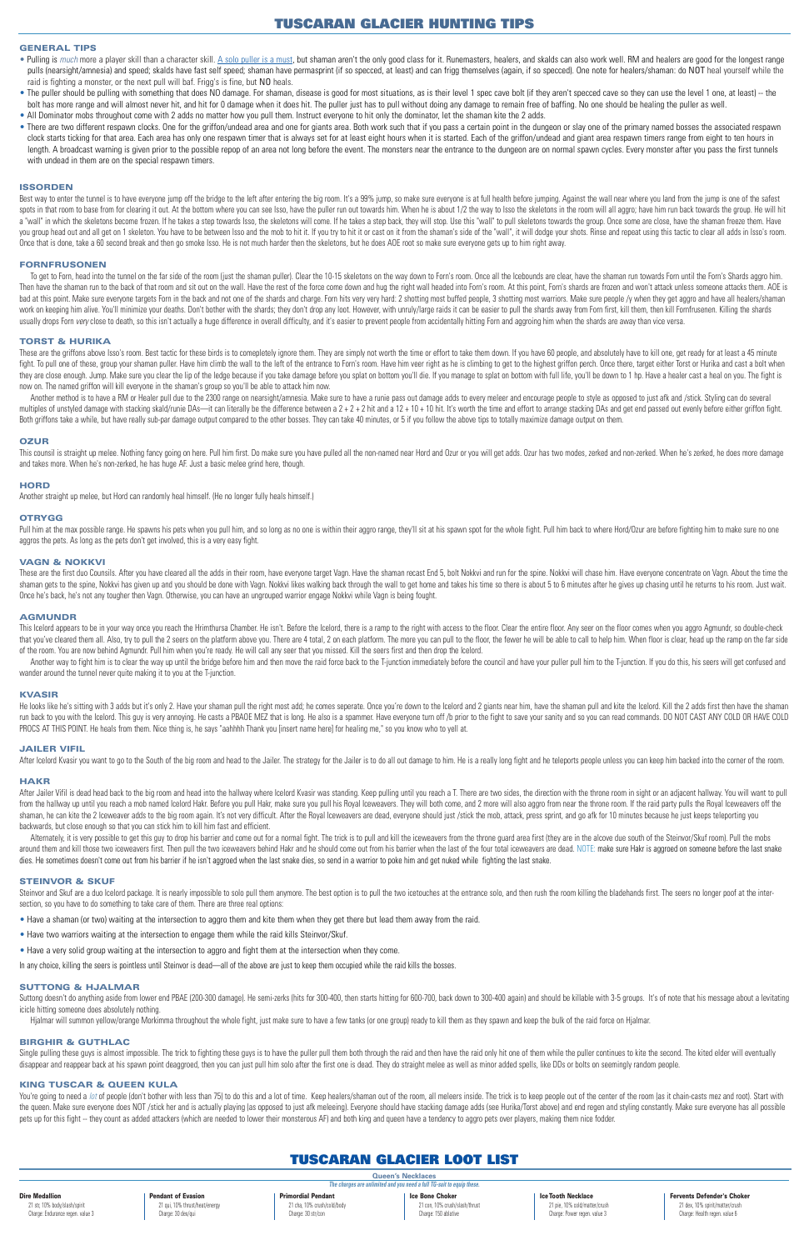# **GENERAL TIPS**

- . Pulling is much more a player skill than a character skill. A solo puller is a must, but shaman aren't the only good class for it. Runemasters, healers, and skalds can also work well. RM and healers are good for the long pulls (nearsight/amnesia) and speed; skalds have fast self speed; shaman have permasprint (if so specced, at least) and can frigg themselves (again, if so specced). One note for healers/shaman: do NOT heal yourself while t raid is fighting a monster, or the next pull will baf. Frigg's is fine, but NO heals.
- . The puller should be pulling with something that does NO damage. For shaman, disease is good for most situations, as is their level 1 spec cave bolt (if they aren't specced cave so they can use the level 1 one, at least) bolt has more range and will almost never hit, and hit for 0 damage when it does hit. The puller just has to pull without doing any damage to remain free of baffing. No one should be healing the puller as well.
- All Dominator mobs throughout come with 2 adds no matter how you pull them. Instruct everyone to hit only the dominator, let the shaman kite the 2 adds.
- There are two different respawn clocks. One for the griffon/undead area and one for giants area. Both work such that if you pass a certain point in the dungeon or slay one of the primary named bosses the associated respa clock starts ticking for that area. Each area has only one respawn timer that is always set for at least eight hours when it is started. Each of the griffon/undead and giant area respawn timers range from eight to ten hour length. A broadcast warning is given prior to the possible repop of an area not long before the event. The monsters near the entrance to the dungeon are on normal spawn cycles. Every monster after you pass the first tunnel with undead in them are on the special respawn timers.

Best way to enter the tunnel is to have everyone jump off the bridge to the left after entering the big room. It's a 99% jump, so make sure everyone is at full health before jumping. Against the wall near where you land fr spots in that room to base from for clearing it out. At the bottom where you can see Isso, have the puller run out towards him. When he is about 1/2 the way to Isso the skeletons in the room will all aggro; have him run ba a "wall" in which the skeletons become frozen. If he takes a step towards lsso, the skeletons will come. If he takes a step back, they will stop. Use this "wall" to pull skeletons towards the group. Once some are close, ha you group head out and all get on 1 skeleton. You have to be between Isso and the mob to hit it. If you try to hit it or cast on it from the shaman's side of the "wall", it will dodge your shots. Rinse and repeat using thi Once that is done, take a 60 second break and then go smoke Isso. He is not much harder then the skeletons, but he does AOE root so make sure everyone gets up to him right away.

## **ISSORDEN**

These are the griffons above Isso's room. Best tactic for these birds is to comepletely ignore them. They are simply not worth the time or effort to take them down. If you have 60 people, and absolutely have to kill one, g fight. To pull one of these, group your shaman puller. Have him climb the wall to the left of the entrance to Forn's room. Have him veer right as he is climbing to get to the highest griffon perch. Once there, target eithe they are close enough. Jump. Make sure you clear the lip of the ledge because if you take damage before you splat on bottom you'll die. If you manage to splat on bottom with full life, you'll be down to 1 hp. Have a healer now on. The named griffon will kill everyone in the shaman's group so you'll be able to attack him now.

Another method is to have a RM or Healer pull due to the 2300 range on nearsight/amnesia. Make sure to have a runie pass out damage adds to every meleer and encourage people to style as opposed to just afk and /stick. Styl multiples of unstyled damage with stacking skald/runie DAs—it can literally be the difference between a 2+2+2 hit and a 12+10+10 hit. It's worth the time and effort to arrange stacking DAs and get end passed out evenly bef Both griffons take a while, but have really sub-par damage output compared to the other bosses. They can take 40 minutes, or 5 if you follow the above tips to totally maximize damage output on them.

#### **FORNFRUSONEN**

To get to Forn, head into the tunnel on the far side of the room (just the shaman puller). Clear the 10-15 skeletons on the way down to Forn's room. Once all the lecebounds are clear, have the shaman run towards Forn until Then have the shaman run to the back of that room and sit out on the wall. Have the rest of the force come down and hug the right wall headed into Forn's room. At this point, Forn's shards are frozen and won't attack unles bad at this point. Make sure everyone targets Forn in the back and not one of the shards and charge. Forn hits very very hard: 2 shotting most buffed people, 3 shotting most warriors. Make sure people /y when they get aggr work on keeping him alive. You'll minimize your deaths. Don't bother with the shards; they don't drop any loot. However, with unruly/large raids it can be easier to pull the shards away from Forn first, kill them, then kil usually drops Forn very close to death, so this isn't actually a huge difference in overall difficulty, and it's easier to prevent people from accidentally hitting Forn and aggroing him when the shards are away than vice v

This counsil is straight up melee. Nothing fancy going on here. Pull him first. Do make sure you have pulled all the non-named near Hord and Ozur or you will get adds. Ozur has two modes, zerked and non-zerked. When he's z and takes more. When he's non-zerked, he has huge AF. Just a basic melee grind here, though.

Pull him at the max possible range. He spawns his pets when you pull him, and so long as no one is within their aggro range, they'll sit at his spawn spot for the whole fight. Pull him back to where Hord/Ozur are before fi aggros the pets. As long as the pets don't get involved, this is a very easy fight.

These are the first duo Counsils. After you have cleared all the adds in their room, have everyone target Vagn. Have the shaman recast End 5, bolt Nokkvi and run for the spine. Nokkvi will chase him. Have everyone concentr shaman gets to the spine, Nokkvi has given up and you should be done with Vagn. Nokkvi likes walking back through the wall to get home and takes his time so there is about 5 to 6 minutes after he gives up chasing until he Once he's back, he's not any tougher then Vagn. Otherwise, you can have an ungrouped warrior engage Nokkvi while Vagn is being fought.

This Icelord appears to be in your way once you reach the Hrimthursa Chamber. He isn't. Before the Icelord, there is a ramp to the right with access to the floor. Clear the entire floor. Any seer on the floor comes when yo that you've cleared them all. Also, try to pull the 2 seers on the platform above you. There are 4 total, 2 on each platform. The more you can pull to the floor, the fewer he will be able to call to help him. When floor is of the room. You are now behind Agmundr. Pull him when you're ready. He will call any seer that you missed. Kill the seers first and then drop the Icelord.

Another way to fight him is to clear the way up until the bridge before him and then move the raid force back to the T-junction immediately before the council and have your puller pull him to the T-junction. If you do this wander around the tunnel never quite making it to you at the T-junction.

#### **TORST & HURIKA**

He looks like he's sitting with 3 adds but it's only 2. Have your shaman pull the right most add; he comes seperate. Once you're down to the lcelord and 2 giants near him, have the shaman pull and kite the lcelord. Kill th run back to you with the Icelord. This guy is very annoying. He casts a PBAOE MEZ that is long. He also is a spammer. Have everyone turn off /b prior to the fight to save your sanity and so you can read commands. DO NOT CA PROCS AT THIS POINT. He heals from them. Nice thing is, he says "aahhhh Thank you [insert name here] for healing me," so you know who to yell at.

After Jailer Vifil is dead head back to the big room and head into the hallway where Icelord Kvasir was standing. Keep pulling until you reach a T. There are two sides, the direction with the throne room in sight or an adj from the hallway up until you reach a mob named Icelord Hakr. Before you pull Hakr, make sure you pull his Royal Iceweavers. They will both come, and 2 more will also aggro from near the throne room. If the raid party pull shaman, he can kite the 2 Iceweaver adds to the big room again. It's not very difficult. After the Royal Iceweavers are dead, everyone should just /stick the mob, attack, press sprint, and go afk for 10 minutes because he backwards, but close enough so that you can stick him to kill him fast and efficient.

Alternately, it is very possible to get this guy to drop his barrier and come out for a normal fight. The trick is to pull and kill the iceweavers from the throne guard area first (they are in the alcove due south of the S around them and kill those two iceweavers first. Then pull the two iceweavers behind Hakr and he should come out from his barrier when the last of the four total iceweavers are dead. NOTE: make sure Hakr is aggroed on some dies. He sometimes doesn't come out from his barrier if he isn't aggroed when the last snake dies, so send in a warrior to poke him and get nuked while fighting the last snake.

Steinvor and Skuf are a duo lcelord package. It is nearly impossible to solo pull them anymore. The best option is to pull the two icetouches at the entrance solo, and then rush the room killing the bladehands first. The s section, so you have to do something to take care of them. There are three real options:

#### **OZUR**

Suttong doesn't do anything aside from lower end PBAE (200-300 damage). He semi-zerks (hits for 300-400, then starts hitting for 600-700, back down to 300-400 again) and should be killable with 3-5 groups. It's of note tha icicle hitting someone does absolutely nothing.

#### **HORD**

Another straight up melee, but Hord can randomly heal himself. (He no longer fully heals himself.)

#### **OTRYGG**

## **VAGN & NOKKVI**

#### **AGMUNDR**

#### **KVASIR**

#### **JAILER VIFIL**

After lcelord Kvasir you want to go to the South of the big room and head to the Jailer. The strategy for the Jailer is to do all out damage to him. He is a really long fight and he teleports people unless you can keep him

#### **HAKR**

# **STEINVOR & SKUF**

- Have a shaman (or two) waiting at the intersection to aggro them and kite them when they get there but lead them away from the raid.
- Have two warriors waiting at the intersection to engage them while the raid kills Steinvor/Skuf.
- Have a very solid group waiting at the intersection to aggro and fight them at the intersection when they come.

In any choice, killing the seers is pointless until Steinvor is dead—all of the above are just to keep them occupied while the raid kills the bosses.

# **SUTTONG & HJALMAR**

Hjalmar will summon yellow/orange Morkimma throughout the whole fight, just make sure to have a few tanks (or one group) ready to kill them as they spawn and keep the bulk of the raid force on Hjalmar.

## **BIRGHIR & GUTHLAC**

Single pulling these guys is almost impossible. The trick to fighting these guys is to have the puller pull them both through the raid and then have the raid only hit one of them while the puller continues to kite the seco disappear and reappear back at his spawn point deaggroed, then you can just pull him solo after the first one is dead. They do straight melee as well as minor added spells, like DDs or bolts on seemingly random people.

# **KING TUSCAR & QUEEN KULA**

You're going to need a lot of people (don't bother with less than 75) to do this and a lot of time. Keep healers/shaman out of the room, all meleers inside. The trick is to keep people out of the conter of the room (as it the queen. Make sure everyone does NOT /stick her and is actually playing (as opposed to just afk meleeing). Everyone should have stacking damage adds (see Hurika/Torst above) and end regen and styling constantly. Make sur pets up for this fight -- they count as added attackers (which are needed to lower their monsterous AF) and both king and queen have a tendency to aggro pets over players, making them nice fodder.

# **TUSCARAN GLACIER HUNTING TIPS**

# **TUSCARAN GLACIER LOOT LIST**

| TUSUANAN GLAUIEN LUUT LIST                                            |                                |                             |                                |                               |                                   |  |  |  |  |
|-----------------------------------------------------------------------|--------------------------------|-----------------------------|--------------------------------|-------------------------------|-----------------------------------|--|--|--|--|
| <b>Queen's Necklaces</b>                                              |                                |                             |                                |                               |                                   |  |  |  |  |
| The charges are unlimited and you need a full TG-suit to equip these. |                                |                             |                                |                               |                                   |  |  |  |  |
| <b>Dire Medallion</b>                                                 | <b>Pendant of Evasion</b>      | <b>Primordial Pendant</b>   | <b>Ice Bone Choker</b>         | <b>Ice Tooth Necklace</b>     | <b>Fervents Defender's Choker</b> |  |  |  |  |
| 21 str, 10% body/slash/spirit                                         | 21 qui, 10% thrust/heat/energy | 21 cha, 10% crush/cold/body | 21 con, 10% crush/slash/thrust | 21 pie, 10% cold/matter/crush | 21 dex, 10% spirit/matter/crush   |  |  |  |  |
| Charge: Endurance regen. value 3                                      | Charge: 30 dex/qui             | Charge: 30 str/con          | Charge: 150 ablative           | Charge: Power regen. value 3  | Charge: Health regen. value 6     |  |  |  |  |